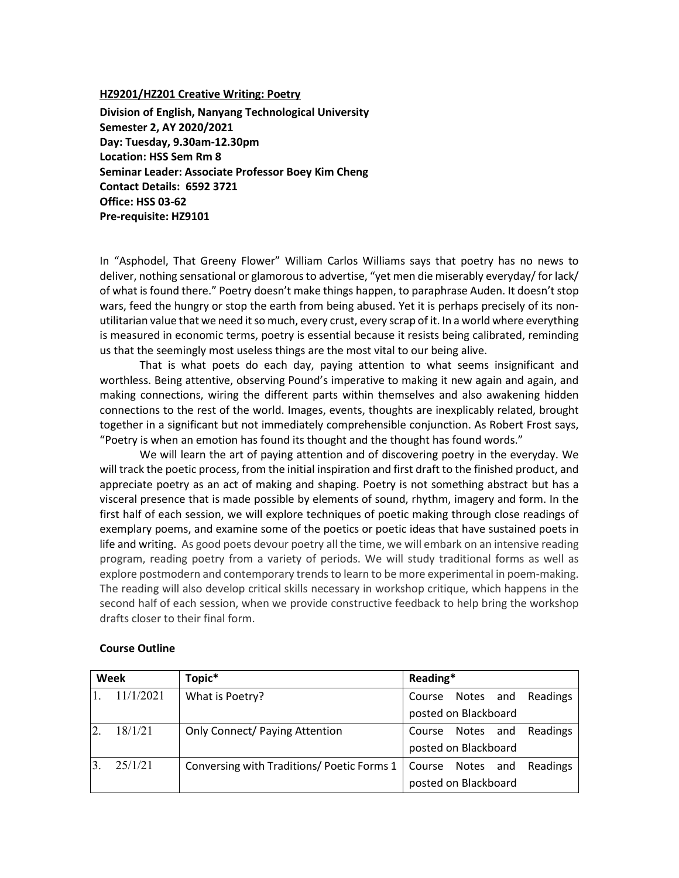#### **HZ9201/HZ201 Creative Writing: Poetry**

**Division of English, Nanyang Technological University Semester 2, AY 2020/2021 Day: Tuesday, 9.30am-12.30pm Location: HSS Sem Rm 8 Seminar Leader: Associate Professor Boey Kim Cheng Contact Details: 6592 3721 Office: HSS 03-62 Pre-requisite: HZ9101**

In "Asphodel, That Greeny Flower" William Carlos Williams says that poetry has no news to deliver, nothing sensational or glamorous to advertise, "yet men die miserably everyday/ for lack/ of what is found there." Poetry doesn't make things happen, to paraphrase Auden. It doesn't stop wars, feed the hungry or stop the earth from being abused. Yet it is perhaps precisely of its nonutilitarian value that we need it so much, every crust, every scrap of it. In a world where everything is measured in economic terms, poetry is essential because it resists being calibrated, reminding us that the seemingly most useless things are the most vital to our being alive.

That is what poets do each day, paying attention to what seems insignificant and worthless. Being attentive, observing Pound's imperative to making it new again and again, and making connections, wiring the different parts within themselves and also awakening hidden connections to the rest of the world. Images, events, thoughts are inexplicably related, brought together in a significant but not immediately comprehensible conjunction. As Robert Frost says, "Poetry is when an emotion has found its thought and the thought has found words."

We will learn the art of paying attention and of discovering poetry in the everyday. We will track the poetic process, from the initial inspiration and first draft to the finished product, and appreciate poetry as an act of making and shaping. Poetry is not something abstract but has a visceral presence that is made possible by elements of sound, rhythm, imagery and form. In the first half of each session, we will explore techniques of poetic making through close readings of exemplary poems, and examine some of the poetics or poetic ideas that have sustained poets in life and writing. As good poets devour poetry all the time, we will embark on an intensive reading program, reading poetry from a variety of periods. We will study traditional forms as well as explore postmodern and contemporary trends to learn to be more experimental in poem-making. The reading will also develop critical skills necessary in workshop critique, which happens in the second half of each session, when we provide constructive feedback to help bring the workshop drafts closer to their final form.

| Week |           | Topic*                                    | Reading*             |                      |     |          |
|------|-----------|-------------------------------------------|----------------------|----------------------|-----|----------|
|      | 11/1/2021 | What is Poetry?                           | Course Notes and     |                      |     | Readings |
|      |           |                                           | posted on Blackboard |                      |     |          |
|      | 18/1/21   | <b>Only Connect/ Paying Attention</b>     | Course Notes and     |                      |     | Readings |
|      |           |                                           |                      | posted on Blackboard |     |          |
|      | 25/1/21   | Conversing with Traditions/Poetic Forms 1 | Course               | Notes                | and | Readings |
|      |           |                                           |                      | posted on Blackboard |     |          |

#### **Course Outline**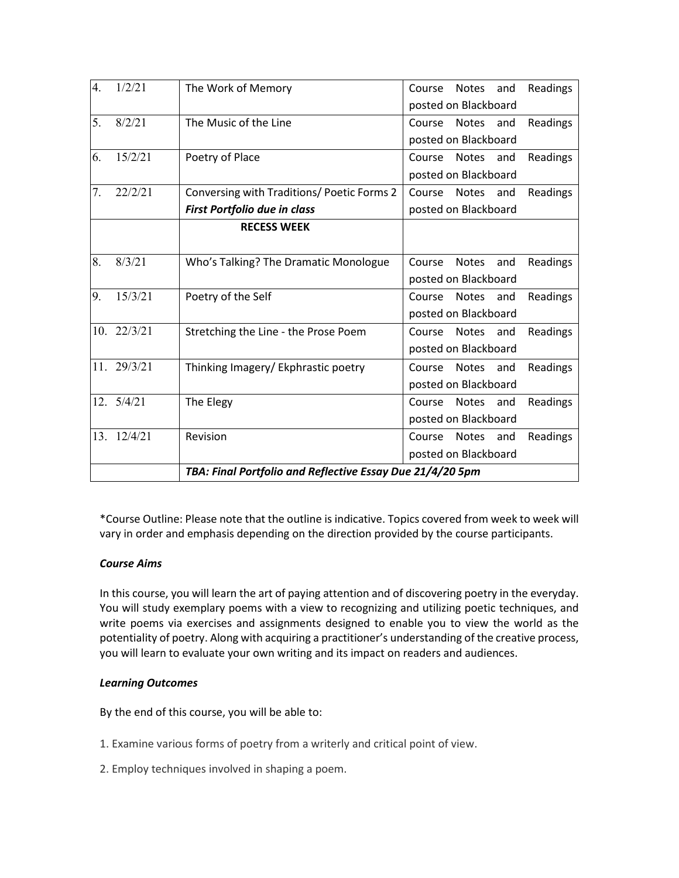| 4. | 1/2/21              | The Work of Memory                                        | Readings<br><b>Notes</b><br>Course<br>and |  |  |  |
|----|---------------------|-----------------------------------------------------------|-------------------------------------------|--|--|--|
|    |                     |                                                           | posted on Blackboard                      |  |  |  |
| 5. | 8/2/21              | The Music of the Line                                     | Course<br><b>Notes</b><br>Readings<br>and |  |  |  |
|    |                     |                                                           | posted on Blackboard                      |  |  |  |
| 6. | 15/2/21             | Poetry of Place                                           | Course<br>Notes<br>and<br>Readings        |  |  |  |
|    |                     |                                                           | posted on Blackboard                      |  |  |  |
| 7. | 22/2/21             | Conversing with Traditions/ Poetic Forms 2                | Readings<br>Course<br>Notes<br>and        |  |  |  |
|    |                     | First Portfolio due in class                              | posted on Blackboard                      |  |  |  |
|    |                     | <b>RECESS WEEK</b>                                        |                                           |  |  |  |
|    |                     |                                                           |                                           |  |  |  |
| 8. | 8/3/21              | Who's Talking? The Dramatic Monologue                     | Course<br><b>Notes</b><br>Readings<br>and |  |  |  |
|    |                     |                                                           | posted on Blackboard                      |  |  |  |
| 9. | 15/3/21             | Poetry of the Self                                        | Course<br><b>Notes</b><br>Readings<br>and |  |  |  |
|    |                     |                                                           | posted on Blackboard                      |  |  |  |
|    | $10. \quad 22/3/21$ | Stretching the Line - the Prose Poem                      | Readings<br>Course<br><b>Notes</b><br>and |  |  |  |
|    |                     |                                                           | posted on Blackboard                      |  |  |  |
|    | 11. 29/3/21         | Thinking Imagery/ Ekphrastic poetry                       | Readings<br>Notes<br>and<br>Course        |  |  |  |
|    |                     |                                                           | posted on Blackboard                      |  |  |  |
|    | 12. 5/4/21          | The Elegy                                                 | Readings<br>Course<br><b>Notes</b><br>and |  |  |  |
|    |                     |                                                           | posted on Blackboard                      |  |  |  |
|    | 13. 12/4/21         | Revision                                                  | Notes<br>Readings<br>Course<br>and        |  |  |  |
|    |                     |                                                           | posted on Blackboard                      |  |  |  |
|    |                     | TBA: Final Portfolio and Reflective Essay Due 21/4/20 5pm |                                           |  |  |  |

\*Course Outline: Please note that the outline is indicative. Topics covered from week to week will vary in order and emphasis depending on the direction provided by the course participants.

# *Course Aims*

In this course, you will learn the art of paying attention and of discovering poetry in the everyday. You will study exemplary poems with a view to recognizing and utilizing poetic techniques, and write poems via exercises and assignments designed to enable you to view the world as the potentiality of poetry. Along with acquiring a practitioner's understanding of the creative process, you will learn to evaluate your own writing and its impact on readers and audiences.

## *Learning Outcomes*

By the end of this course, you will be able to:

- 1. Examine various forms of poetry from a writerly and critical point of view.
- 2. Employ techniques involved in shaping a poem.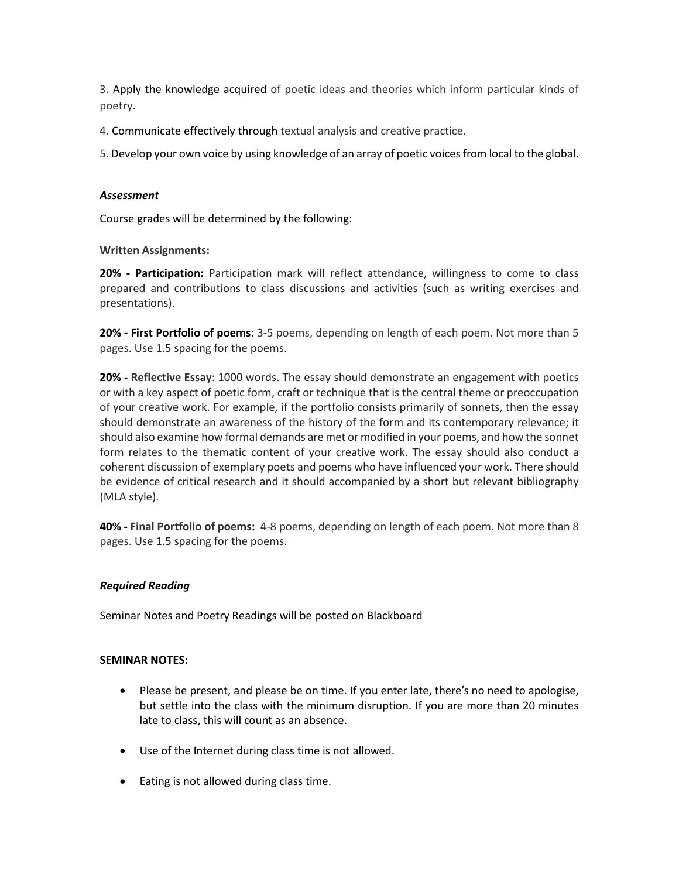3. Apply the knowledge acquired of poetic ideas and theories which inform particular kinds of poetry.

4. Communicate effectively through textual analysis and creative practice.

5. Develop your own voice by using knowledge of an array of poetic voices from local to the global.

#### *Assessment*

Course grades will be determined by the following:

**Written Assignments:**

**20% - Participation:** Participation mark will reflect attendance, willingness to come to class prepared and contributions to class discussions and activities (such as writing exercises and presentations).

**20% - First Portfolio of poems**: 3-5 poems, depending on length of each poem. Not more than 5 pages. Use 1.5 spacing for the poems.

**20% - Reflective Essay**: 1000 words. The essay should demonstrate an engagement with poetics or with a key aspect of poetic form, craft or technique that is the central theme or preoccupation of your creative work. For example, if the portfolio consists primarily of sonnets, then the essay should demonstrate an awareness of the history of the form and its contemporary relevance; it should also examine how formal demands are met or modified in your poems, and how the sonnet form relates to the thematic content of your creative work. The essay should also conduct a coherent discussion of exemplary poets and poems who have influenced your work. There should be evidence of critical research and it should accompanied by a short but relevant bibliography (MLA style).

**40% - Final Portfolio of poems:** 4-8 poems, depending on length of each poem. Not more than 8 pages. Use 1.5 spacing for the poems.

## *Required Reading*

Seminar Notes and Poetry Readings will be posted on Blackboard

#### **SEMINAR NOTES:**

- Please be present, and please be on time. If you enter late, there's no need to apologise, but settle into the class with the minimum disruption. If you are more than 20 minutes late to class, this will count as an absence.
- Use of the Internet during class time is not allowed.
- Eating is not allowed during class time.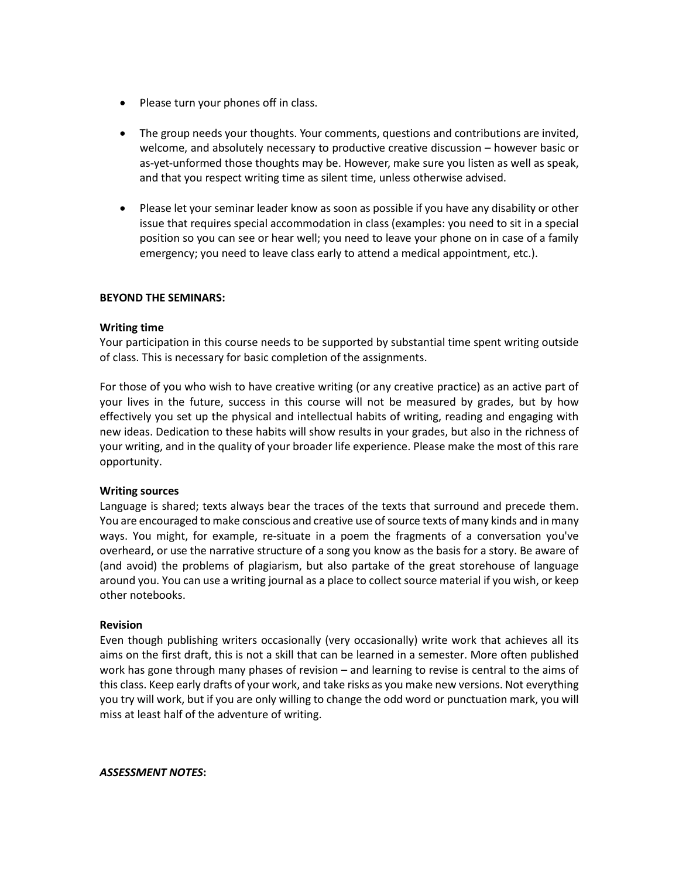- Please turn your phones off in class.
- The group needs your thoughts. Your comments, questions and contributions are invited, welcome, and absolutely necessary to productive creative discussion – however basic or as-yet-unformed those thoughts may be. However, make sure you listen as well as speak, and that you respect writing time as silent time, unless otherwise advised.
- Please let your seminar leader know as soon as possible if you have any disability or other issue that requires special accommodation in class (examples: you need to sit in a special position so you can see or hear well; you need to leave your phone on in case of a family emergency; you need to leave class early to attend a medical appointment, etc.).

#### **BEYOND THE SEMINARS:**

#### **Writing time**

Your participation in this course needs to be supported by substantial time spent writing outside of class. This is necessary for basic completion of the assignments.

For those of you who wish to have creative writing (or any creative practice) as an active part of your lives in the future, success in this course will not be measured by grades, but by how effectively you set up the physical and intellectual habits of writing, reading and engaging with new ideas. Dedication to these habits will show results in your grades, but also in the richness of your writing, and in the quality of your broader life experience. Please make the most of this rare opportunity.

#### **Writing sources**

Language is shared; texts always bear the traces of the texts that surround and precede them. You are encouraged to make conscious and creative use of source texts of many kinds and in many ways. You might, for example, re-situate in a poem the fragments of a conversation you've overheard, or use the narrative structure of a song you know as the basis for a story. Be aware of (and avoid) the problems of plagiarism, but also partake of the great storehouse of language around you. You can use a writing journal as a place to collect source material if you wish, or keep other notebooks.

#### **Revision**

Even though publishing writers occasionally (very occasionally) write work that achieves all its aims on the first draft, this is not a skill that can be learned in a semester. More often published work has gone through many phases of revision – and learning to revise is central to the aims of this class. Keep early drafts of your work, and take risks as you make new versions. Not everything you try will work, but if you are only willing to change the odd word or punctuation mark, you will miss at least half of the adventure of writing.

#### *ASSESSMENT NOTES***:**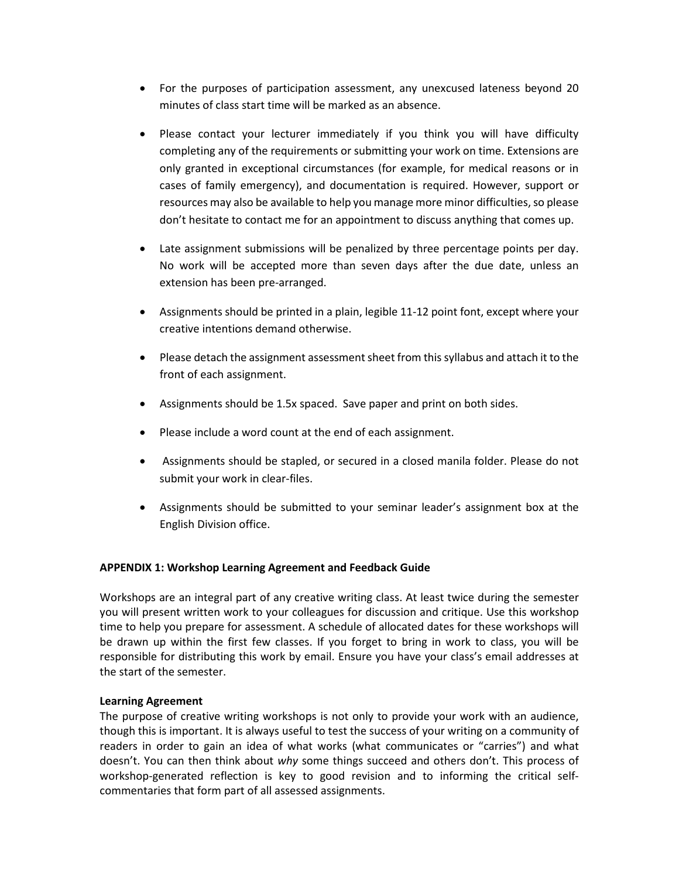- For the purposes of participation assessment, any unexcused lateness beyond 20 minutes of class start time will be marked as an absence.
- Please contact your lecturer immediately if you think you will have difficulty completing any of the requirements or submitting your work on time. Extensions are only granted in exceptional circumstances (for example, for medical reasons or in cases of family emergency), and documentation is required. However, support or resources may also be available to help you manage more minor difficulties, so please don't hesitate to contact me for an appointment to discuss anything that comes up.
- Late assignment submissions will be penalized by three percentage points per day. No work will be accepted more than seven days after the due date, unless an extension has been pre-arranged.
- Assignments should be printed in a plain, legible 11-12 point font, except where your creative intentions demand otherwise.
- Please detach the assignment assessment sheet from this syllabus and attach it to the front of each assignment.
- Assignments should be 1.5x spaced. Save paper and print on both sides.
- Please include a word count at the end of each assignment.
- Assignments should be stapled, or secured in a closed manila folder. Please do not submit your work in clear-files.
- Assignments should be submitted to your seminar leader's assignment box at the English Division office.

## **APPENDIX 1: Workshop Learning Agreement and Feedback Guide**

Workshops are an integral part of any creative writing class. At least twice during the semester you will present written work to your colleagues for discussion and critique. Use this workshop time to help you prepare for assessment. A schedule of allocated dates for these workshops will be drawn up within the first few classes. If you forget to bring in work to class, you will be responsible for distributing this work by email. Ensure you have your class's email addresses at the start of the semester.

## **Learning Agreement**

The purpose of creative writing workshops is not only to provide your work with an audience, though this is important. It is always useful to test the success of your writing on a community of readers in order to gain an idea of what works (what communicates or "carries") and what doesn't. You can then think about *why* some things succeed and others don't. This process of workshop-generated reflection is key to good revision and to informing the critical selfcommentaries that form part of all assessed assignments.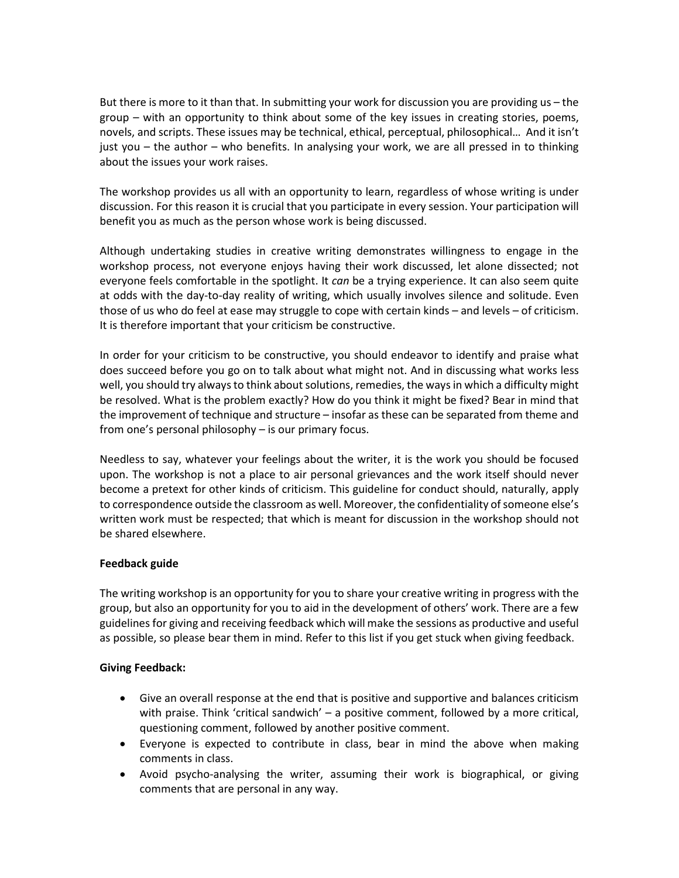But there is more to it than that. In submitting your work for discussion you are providing us – the group – with an opportunity to think about some of the key issues in creating stories, poems, novels, and scripts. These issues may be technical, ethical, perceptual, philosophical… And it isn't just you – the author – who benefits. In analysing your work, we are all pressed in to thinking about the issues your work raises.

The workshop provides us all with an opportunity to learn, regardless of whose writing is under discussion. For this reason it is crucial that you participate in every session. Your participation will benefit you as much as the person whose work is being discussed.

Although undertaking studies in creative writing demonstrates willingness to engage in the workshop process, not everyone enjoys having their work discussed, let alone dissected; not everyone feels comfortable in the spotlight. It *can* be a trying experience. It can also seem quite at odds with the day-to-day reality of writing, which usually involves silence and solitude. Even those of us who do feel at ease may struggle to cope with certain kinds – and levels – of criticism. It is therefore important that your criticism be constructive.

In order for your criticism to be constructive, you should endeavor to identify and praise what does succeed before you go on to talk about what might not. And in discussing what works less well, you should try always to think about solutions, remedies, the ways in which a difficulty might be resolved. What is the problem exactly? How do you think it might be fixed? Bear in mind that the improvement of technique and structure – insofar as these can be separated from theme and from one's personal philosophy – is our primary focus.

Needless to say, whatever your feelings about the writer, it is the work you should be focused upon. The workshop is not a place to air personal grievances and the work itself should never become a pretext for other kinds of criticism. This guideline for conduct should, naturally, apply to correspondence outside the classroom as well. Moreover, the confidentiality of someone else's written work must be respected; that which is meant for discussion in the workshop should not be shared elsewhere.

## **Feedback guide**

The writing workshop is an opportunity for you to share your creative writing in progress with the group, but also an opportunity for you to aid in the development of others' work. There are a few guidelines for giving and receiving feedback which will make the sessions as productive and useful as possible, so please bear them in mind. Refer to this list if you get stuck when giving feedback.

## **Giving Feedback:**

- Give an overall response at the end that is positive and supportive and balances criticism with praise. Think 'critical sandwich' – a positive comment, followed by a more critical, questioning comment, followed by another positive comment.
- Everyone is expected to contribute in class, bear in mind the above when making comments in class.
- Avoid psycho-analysing the writer, assuming their work is biographical, or giving comments that are personal in any way.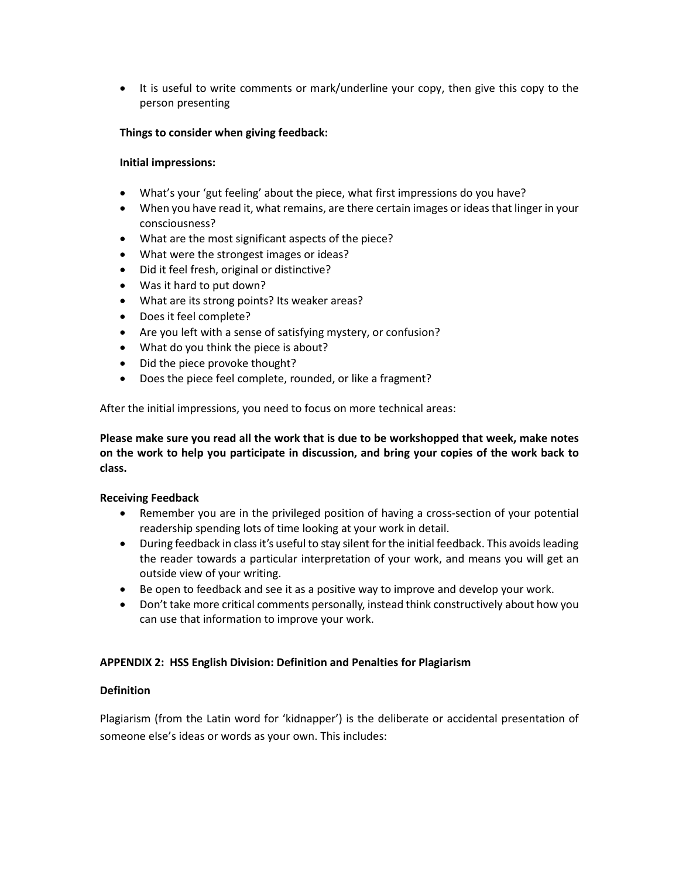• It is useful to write comments or mark/underline your copy, then give this copy to the person presenting

# **Things to consider when giving feedback:**

## **Initial impressions:**

- What's your 'gut feeling' about the piece, what first impressions do you have?
- When you have read it, what remains, are there certain images or ideas that linger in your consciousness?
- What are the most significant aspects of the piece?
- What were the strongest images or ideas?
- Did it feel fresh, original or distinctive?
- Was it hard to put down?
- What are its strong points? Its weaker areas?
- Does it feel complete?
- Are you left with a sense of satisfying mystery, or confusion?
- What do you think the piece is about?
- Did the piece provoke thought?
- Does the piece feel complete, rounded, or like a fragment?

After the initial impressions, you need to focus on more technical areas:

**Please make sure you read all the work that is due to be workshopped that week, make notes on the work to help you participate in discussion, and bring your copies of the work back to class.** 

## **Receiving Feedback**

- Remember you are in the privileged position of having a cross-section of your potential readership spending lots of time looking at your work in detail.
- During feedback in class it's useful to stay silent for the initial feedback. This avoids leading the reader towards a particular interpretation of your work, and means you will get an outside view of your writing.
- Be open to feedback and see it as a positive way to improve and develop your work.
- Don't take more critical comments personally, instead think constructively about how you can use that information to improve your work.

## **APPENDIX 2: HSS English Division: Definition and Penalties for Plagiarism**

## **Definition**

Plagiarism (from the Latin word for 'kidnapper') is the deliberate or accidental presentation of someone else's ideas or words as your own. This includes: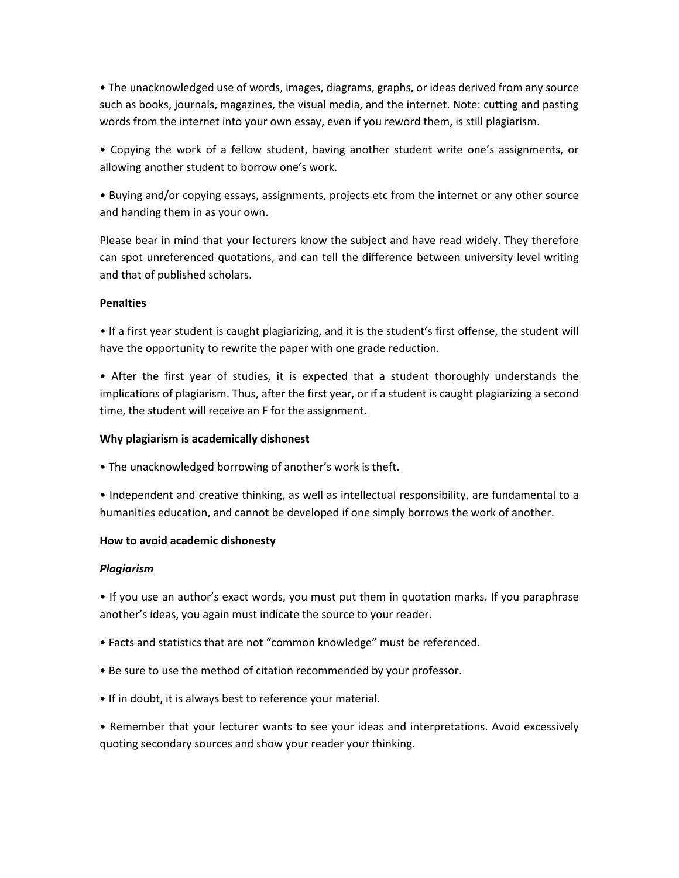• The unacknowledged use of words, images, diagrams, graphs, or ideas derived from any source such as books, journals, magazines, the visual media, and the internet. Note: cutting and pasting words from the internet into your own essay, even if you reword them, is still plagiarism.

• Copying the work of a fellow student, having another student write one's assignments, or allowing another student to borrow one's work.

• Buying and/or copying essays, assignments, projects etc from the internet or any other source and handing them in as your own.

Please bear in mind that your lecturers know the subject and have read widely. They therefore can spot unreferenced quotations, and can tell the difference between university level writing and that of published scholars.

# **Penalties**

• If a first year student is caught plagiarizing, and it is the student's first offense, the student will have the opportunity to rewrite the paper with one grade reduction.

• After the first year of studies, it is expected that a student thoroughly understands the implications of plagiarism. Thus, after the first year, or if a student is caught plagiarizing a second time, the student will receive an F for the assignment.

## **Why plagiarism is academically dishonest**

• The unacknowledged borrowing of another's work is theft.

• Independent and creative thinking, as well as intellectual responsibility, are fundamental to a humanities education, and cannot be developed if one simply borrows the work of another.

## **How to avoid academic dishonesty**

## *Plagiarism*

• If you use an author's exact words, you must put them in quotation marks. If you paraphrase another's ideas, you again must indicate the source to your reader.

- Facts and statistics that are not "common knowledge" must be referenced.
- Be sure to use the method of citation recommended by your professor.
- If in doubt, it is always best to reference your material.

• Remember that your lecturer wants to see your ideas and interpretations. Avoid excessively quoting secondary sources and show your reader your thinking.